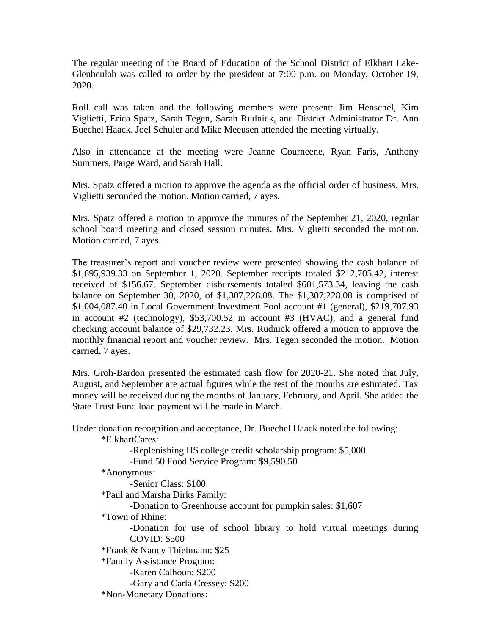The regular meeting of the Board of Education of the School District of Elkhart Lake-Glenbeulah was called to order by the president at 7:00 p.m. on Monday, October 19, 2020.

Roll call was taken and the following members were present: Jim Henschel, Kim Viglietti, Erica Spatz, Sarah Tegen, Sarah Rudnick, and District Administrator Dr. Ann Buechel Haack. Joel Schuler and Mike Meeusen attended the meeting virtually.

Also in attendance at the meeting were Jeanne Courneene, Ryan Faris, Anthony Summers, Paige Ward, and Sarah Hall.

Mrs. Spatz offered a motion to approve the agenda as the official order of business. Mrs. Viglietti seconded the motion. Motion carried, 7 ayes.

Mrs. Spatz offered a motion to approve the minutes of the September 21, 2020, regular school board meeting and closed session minutes. Mrs. Viglietti seconded the motion. Motion carried, 7 ayes.

The treasurer's report and voucher review were presented showing the cash balance of \$1,695,939.33 on September 1, 2020. September receipts totaled \$212,705.42, interest received of \$156.67. September disbursements totaled \$601,573.34, leaving the cash balance on September 30, 2020, of \$1,307,228.08. The \$1,307,228.08 is comprised of \$1,004,087.40 in Local Government Investment Pool account #1 (general), \$219,707.93 in account #2 (technology), \$53,700.52 in account #3 (HVAC), and a general fund checking account balance of \$29,732.23. Mrs. Rudnick offered a motion to approve the monthly financial report and voucher review. Mrs. Tegen seconded the motion. Motion carried, 7 ayes.

Mrs. Groh-Bardon presented the estimated cash flow for 2020-21. She noted that July, August, and September are actual figures while the rest of the months are estimated. Tax money will be received during the months of January, February, and April. She added the State Trust Fund loan payment will be made in March.

Under donation recognition and acceptance, Dr. Buechel Haack noted the following:

\*ElkhartCares:

-Replenishing HS college credit scholarship program: \$5,000 -Fund 50 Food Service Program: \$9,590.50

\*Anonymous:

-Senior Class: \$100

\*Paul and Marsha Dirks Family:

-Donation to Greenhouse account for pumpkin sales: \$1,607

\*Town of Rhine:

-Donation for use of school library to hold virtual meetings during COVID: \$500

\*Frank & Nancy Thielmann: \$25

\*Family Assistance Program:

-Karen Calhoun: \$200

-Gary and Carla Cressey: \$200

\*Non-Monetary Donations: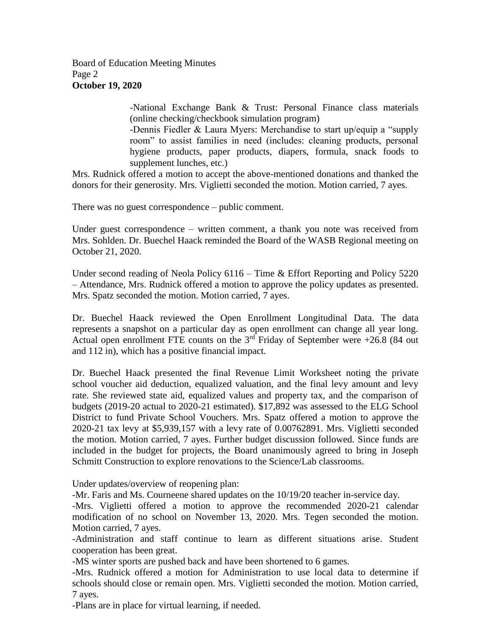Board of Education Meeting Minutes Page 2 **October 19, 2020**

> -National Exchange Bank & Trust: Personal Finance class materials (online checking/checkbook simulation program)

> -Dennis Fiedler & Laura Myers: Merchandise to start up/equip a "supply room" to assist families in need (includes: cleaning products, personal hygiene products, paper products, diapers, formula, snack foods to supplement lunches, etc.)

Mrs. Rudnick offered a motion to accept the above-mentioned donations and thanked the donors for their generosity. Mrs. Viglietti seconded the motion. Motion carried, 7 ayes.

There was no guest correspondence – public comment.

Under guest correspondence – written comment, a thank you note was received from Mrs. Sohlden. Dr. Buechel Haack reminded the Board of the WASB Regional meeting on October 21, 2020.

Under second reading of Neola Policy 6116 – Time & Effort Reporting and Policy 5220 – Attendance, Mrs. Rudnick offered a motion to approve the policy updates as presented. Mrs. Spatz seconded the motion. Motion carried, 7 ayes.

Dr. Buechel Haack reviewed the Open Enrollment Longitudinal Data. The data represents a snapshot on a particular day as open enrollment can change all year long. Actual open enrollment FTE counts on the  $3<sup>rd</sup>$  Friday of September were +26.8 (84 out and 112 in), which has a positive financial impact.

Dr. Buechel Haack presented the final Revenue Limit Worksheet noting the private school voucher aid deduction, equalized valuation, and the final levy amount and levy rate. She reviewed state aid, equalized values and property tax, and the comparison of budgets (2019-20 actual to 2020-21 estimated). \$17,892 was assessed to the ELG School District to fund Private School Vouchers. Mrs. Spatz offered a motion to approve the 2020-21 tax levy at \$5,939,157 with a levy rate of 0.00762891. Mrs. Viglietti seconded the motion. Motion carried, 7 ayes. Further budget discussion followed. Since funds are included in the budget for projects, the Board unanimously agreed to bring in Joseph Schmitt Construction to explore renovations to the Science/Lab classrooms.

Under updates/overview of reopening plan:

-Mr. Faris and Ms. Courneene shared updates on the 10/19/20 teacher in-service day.

-Mrs. Viglietti offered a motion to approve the recommended 2020-21 calendar modification of no school on November 13, 2020. Mrs. Tegen seconded the motion. Motion carried, 7 ayes.

-Administration and staff continue to learn as different situations arise. Student cooperation has been great.

-MS winter sports are pushed back and have been shortened to 6 games.

-Mrs. Rudnick offered a motion for Administration to use local data to determine if schools should close or remain open. Mrs. Viglietti seconded the motion. Motion carried, 7 ayes.

-Plans are in place for virtual learning, if needed.